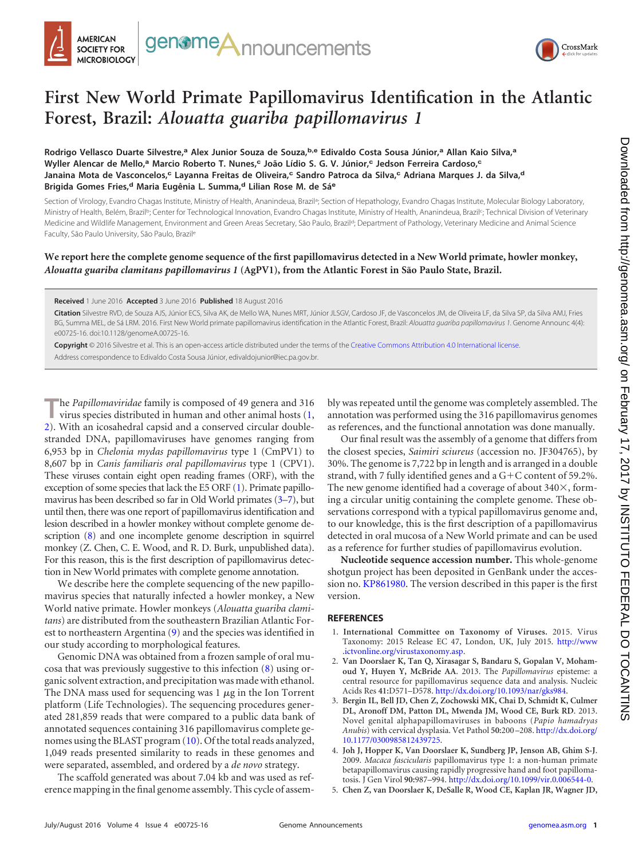



## **First New World Primate Papillomavirus Identification in the Atlantic Forest, Brazil:** *Alouatta guariba papillomavirus 1*

**Rodrigo Vellasco Duarte Silvestre,<sup>a</sup> Alex Junior Souza de Souza,b,e Edivaldo Costa Sousa Júnior,<sup>a</sup> Allan Kaio Silva,<sup>a</sup> Wyller Alencar de Mello,<sup>a</sup> Marcio Roberto T. Nunes,<sup>c</sup> João Lídio S. G. V. Júnior,<sup>c</sup> Jedson Ferreira Cardoso,<sup>c</sup> Janaina Mota de Vasconcelos,<sup>c</sup> Layanna Freitas de Oliveira,<sup>c</sup> Sandro Patroca da Silva,<sup>c</sup> Adriana Marques J. da Silva,<sup>d</sup> Brigida Gomes Fries,<sup>d</sup> Maria Eugênia L. Summa,<sup>d</sup> Lilian Rose M. de Sá<sup>e</sup>**

Section of Virology, Evandro Chagas Institute, Ministry of Health, Ananindeua, Brazil<sup>a</sup>; Section of Hepathology, Evandro Chagas Institute, Molecular Biology Laboratory, Ministry of Health, Belém, Brazil<sup>b</sup>; Center for Technological Innovation, Evandro Chagas Institute, Ministry of Health, Ananindeua, Brazil<sup>c</sup>; Technical Division of Veterinary Medicine and Wildlife Management, Environment and Green Areas Secretary, São Paulo, Brazil<sup>d</sup>; Department of Pathology, Veterinary Medicine and Animal Science Faculty, São Paulo University, São Paulo, Brazile

## **We report here the complete genome sequence of the first papillomavirus detected in a New World primate, howler monkey,** *Alouatta guariba clamitans papillomavirus 1* **(AgPV1), from the Atlantic Forest in São Paulo State, Brazil.**

## **Received** 1 June 2016 **Accepted** 3 June 2016 **Published** 18 August 2016

**Citation** Silvestre RVD, de Souza AJS, Júnior ECS, Silva AK, de Mello WA, Nunes MRT, Júnior JLSGV, Cardoso JF, de Vasconcelos JM, de Oliveira LF, da Silva SP, da Silva AMJ, Fries BG, Summa MEL, de Sá LRM. 2016. First New World primate papillomavirus identification in the Atlantic Forest, Brazil: *Alouatta guariba papillomavirus 1*. Genome Announc 4(4): e00725-16. doi:10.1128/genomeA.00725-16.

**Copyright** © 2016 Silvestre et al. This is an open-access article distributed under the terms of the Creative Commons Attribution 4.0 International license. Address correspondence to Edivaldo Costa Sousa Júnior, edivaldojunior@iec.pa.gov.br.

**T**he *Papillomaviridae* family is composed of 49 genera and 316 virus species distributed in human and other animal hosts [\(1,](#page-0-0) [2\)](#page-0-1). With an icosahedral capsid and a conserved circular doublestranded DNA, papillomaviruses have genomes ranging from 6,953 bp in *Chelonia mydas papillomavirus* type 1 (CmPV1) to 8,607 bp in *Canis familiaris oral papillomavirus* type 1 (CPV1). These viruses contain eight open reading frames (ORF), with the exception of some species that lack the E5 ORF [\(1\)](#page-0-0). Primate papillomavirus has been described so far in Old World primates [\(3–](#page-0-2)[7\)](#page-1-0), but until then, there was one report of papillomavirus identification and lesion described in a howler monkey without complete genome description [\(8\)](#page-1-1) and one incomplete genome description in squirrel monkey (Z. Chen, C. E. Wood, and R. D. Burk, unpublished data). For this reason, this is the first description of papillomavirus detection in New World primates with complete genome annotation.

We describe here the complete sequencing of the new papillomavirus species that naturally infected a howler monkey, a New World native primate. Howler monkeys (*Alouatta guariba clamitans*) are distributed from the southeastern Brazilian Atlantic Forest to northeastern Argentina [\(9\)](#page-1-2) and the species was identified in our study according to morphological features.

Genomic DNA was obtained from a frozen sample of oral mucosa that was previously suggestive to this infection [\(8\)](#page-1-1) using organic solvent extraction, and precipitation was made with ethanol. The DNA mass used for sequencing was  $1 \mu$ g in the Ion Torrent platform (Life Technologies). The sequencing procedures generated 281,859 reads that were compared to a public data bank of annotated sequences containing 316 papillomavirus complete genomes using the BLAST program [\(10\)](#page-1-3). Of the total reads analyzed, 1,049 reads presented similarity to reads in these genomes and were separated, assembled, and ordered by a *de novo* strategy.

The scaffold generated was about 7.04 kb and was used as reference mapping in the final genome assembly. This cycle of assembly was repeated until the genome was completely assembled. The annotation was performed using the 316 papillomavirus genomes as references, and the functional annotation was done manually.

Our final result was the assembly of a genome that differs from the closest species, *Saimiri sciureus* (accession no. JF304765), by 30%. The genome is 7,722 bp in length and is arranged in a double strand, with 7 fully identified genes and a G+C content of 59.2%. The new genome identified had a coverage of about  $340\times$ , forming a circular unitig containing the complete genome. These observations correspond with a typical papillomavirus genome and, to our knowledge, this is the first description of a papillomavirus detected in oral mucosa of a New World primate and can be used as a reference for further studies of papillomavirus evolution.

**Nucleotide sequence accession number.** This whole-genome shotgun project has been deposited in GenBank under the accession no. KP861980. The version described in this paper is the first version.

## <span id="page-0-0"></span>**REFERENCES**

- 1. **International Committee on Taxonomy of Viruses.** 2015. Virus Taxonomy: 2015 Release EC 47, London, UK, July 2015. http://www .ictvonline.org/virustaxonomy.asp.
- <span id="page-0-1"></span>2. **Van Doorslaer K, Tan Q, Xirasagar S, Bandaru S, Gopalan V, Mohamoud Y, Huyen Y, McBride AA**. 2013. The *Papillomavirus* episteme: a central resource for papillomavirus sequence data and analysis. Nucleic Acids Res **41:**D571–D578. http://dx.doi.org/10.1093/nar/gks984.
- <span id="page-0-2"></span>3. **Bergin IL, Bell JD, Chen Z, Zochowski MK, Chai D, Schmidt K, Culmer DL, Aronoff DM, Patton DL, Mwenda JM, Wood CE, Burk RD**. 2013. Novel genital alphapapillomaviruses in baboons (*Papio hamadryas Anubis*) with cervical dysplasia. Vet Pathol **50:**200 –208. http://dx.doi.org/ 10.1177/0300985812439725.
- 4. **Joh J, Hopper K, Van Doorslaer K, Sundberg JP, Jenson AB, Ghim S-J**. 2009. *Macaca fascicularis* papillomavirus type 1: a non-human primate betapapillomavirus causing rapidly progressive hand and foot papillomatosis. J Gen Virol **90:**987–994. http://dx.doi.org/10.1099/vir.0.006544-0.
- 5. **Chen Z, van Doorslaer K, DeSalle R, Wood CE, Kaplan JR, Wagner JD,**